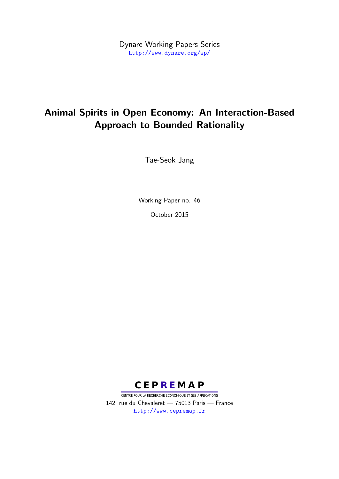Dynare Working Papers Series <http://www.dynare.org/wp/>

# Animal Spirits in Open Economy: An Interaction-Based Approach to Bounded Rationality

Tae-Seok Jang

Working Paper no. 46 October 2015



CENTRE POUR LA RECHERCHE ECONOMIQUE ET SES APPLICATIONS 142, rue du Chevaleret — 75013 Paris — France <http://www.cepremap.fr>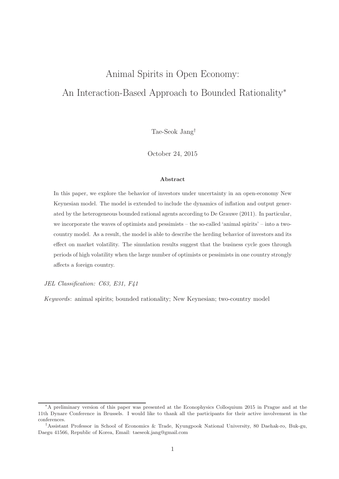# Animal Spirits in Open Economy: An Interaction-Based Approach to Bounded Rationality<sup>∗</sup>

Tae-Seok Jang†

October 24, 2015

#### Abstract

In this paper, we explore the behavior of investors under uncertainty in an open-economy New Keynesian model. The model is extended to include the dynamics of inflation and output generated by the heterogeneous bounded rational agents according to De Grauwe (2011). In particular, we incorporate the waves of optimists and pessimists – the so-called 'animal spirits' – into a twocountry model. As a result, the model is able to describe the herding behavior of investors and its effect on market volatility. The simulation results suggest that the business cycle goes through periods of high volatility when the large number of optimists or pessimists in one country strongly affects a foreign country.

JEL Classification: C63, E31, F41

Keywords: animal spirits; bounded rationality; New Keynesian; two-country model

<sup>∗</sup>A preliminary version of this paper was presented at the Econophysics Colloquium 2015 in Prague and at the 11th Dynare Conference in Brussels. I would like to thank all the participants for their active involvement in the conferences.

<sup>†</sup>Assistant Professor in School of Economics & Trade, Kyungpook National University, 80 Daehak-ro, Buk-gu, Daegu 41566, Republic of Korea, Email: taeseok.jang@gmail.com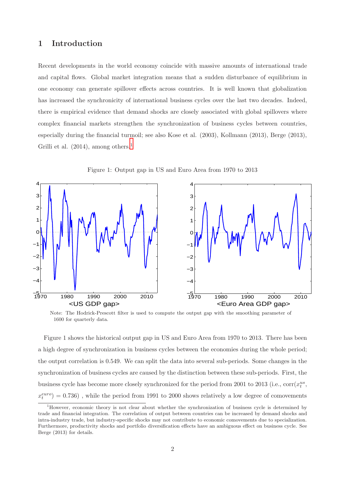# 1 Introduction

Recent developments in the world economy coincide with massive amounts of international trade and capital flows. Global market integration means that a sudden disturbance of equilibrium in one economy can generate spillover effects across countries. It is well known that globalization has increased the synchronicity of international business cycles over the last two decades. Indeed, there is empirical evidence that demand shocks are closely associated with global spillovers where complex financial markets strengthen the synchronization of business cycles between countries, especially during the financial turmoil; see also Kose et al. (2003), Kollmann (2013), Berge (2013), Grilli et al.  $(2014)$  $(2014)$  $(2014)$ , among others.<sup>1</sup>



Figure 1: Output gap in US and Euro Area from 1970 to 2013

Note: The Hodrick-Prescott filter is used to compute the output gap with the smoothing parameter of 1600 for quarterly data.

Figure 1 shows the historical output gap in US and Euro Area from 1970 to 2013. There has been a high degree of synchronization in business cycles between the economies during the whole period; the output correlation is 0.549. We can split the data into several sub-periods. Some changes in the synchronization of business cycles are caused by the distinction between these sub-periods. First, the business cycle has become more closely synchronized for the period from 2001 to 2013 (i.e.,  $corr(x_t^{us},$  $x_t^{euro}$  $=$  0.736) , while the period from 1991 to 2000 shows relatively a low degree of comovements

<span id="page-2-0"></span><sup>1</sup>However, economic theory is not clear about whether the synchronization of business cycle is determined by trade and financial integration. The correlation of output between countries can be increased by demand shocks and intra-industry trade, but industry-specific shocks may not contribute to economic comovements due to specialization. Furthermore, productivity shocks and portfolio diversification effects have an ambiguous effect on business cycle. See Berge (2013) for details.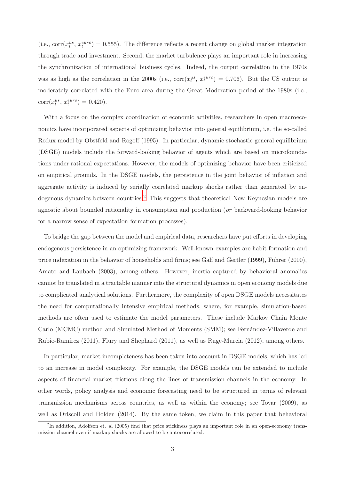(i.e.,  $corr(x_t^{us}, x_t^{euro}) = 0.555$ ). The difference reflects a recent change on global market integration through trade and investment. Second, the market turbulence plays an important role in increasing the synchronization of international business cycles. Indeed, the output correlation in the 1970s was as high as the correlation in the 2000s (i.e.,  $corr(x_t^{us}, x_t^{euro}) = 0.706$ ). But the US output is moderately correlated with the Euro area during the Great Moderation period of the 1980s (i.e.,  $\text{corr}(x_t^{us}, x_t^{euro}) = 0.420).$ 

With a focus on the complex coordination of economic activities, researchers in open macroeconomics have incorporated aspects of optimizing behavior into general equilibrium, i.e. the so-called Redux model by Obstfeld and Rogoff (1995). In particular, dynamic stochastic general equilibrium (DSGE) models include the forward-looking behavior of agents which are based on microfoundations under rational expectations. However, the models of optimizing behavior have been criticized on empirical grounds. In the DSGE models, the persistence in the joint behavior of inflation and aggregate activity is induced by serially correlated markup shocks rather than generated by en-dogenous dynamics between countries.<sup>[2](#page-3-0)</sup> This suggests that theoretical New Keynesian models are agnostic about bounded rationality in consumption and production (or backward-looking behavior for a narrow sense of expectation formation processes).

To bridge the gap between the model and empirical data, researchers have put efforts in developing endogenous persistence in an optimizing framework. Well-known examples are habit formation and price indexation in the behavior of households and firms; see Galí and Gertler (1999), Fuhrer (2000), Amato and Laubach (2003), among others. However, inertia captured by behavioral anomalies cannot be translated in a tractable manner into the structural dynamics in open economy models due to complicated analytical solutions. Furthermore, the complexity of open DSGE models necessitates the need for computationally intensive empirical methods, where, for example, simulation-based methods are often used to estimate the model parameters. These include Markov Chain Monte Carlo (MCMC) method and Simulated Method of Moments (SMM); see Fernandez-Villaverde and Rubio-Ramírez (2011), Flury and Shephard (2011), as well as Ruge-Murcia (2012), among others.

In particular, market incompleteness has been taken into account in DSGE models, which has led to an increase in model complexity. For example, the DSGE models can be extended to include aspects of financial market frictions along the lines of transmission channels in the economy. In other words, policy analysis and economic forecasting need to be structured in terms of relevant transmission mechanisms across countries, as well as within the economy; see Tovar (2009), as well as Driscoll and Holden (2014). By the same token, we claim in this paper that behavioral

<span id="page-3-0"></span><sup>&</sup>lt;sup>2</sup>In addition, Adolfson et. al (2005) find that price stickiness plays an important role in an open-economy transmission channel even if markup shocks are allowed to be autocorrelated.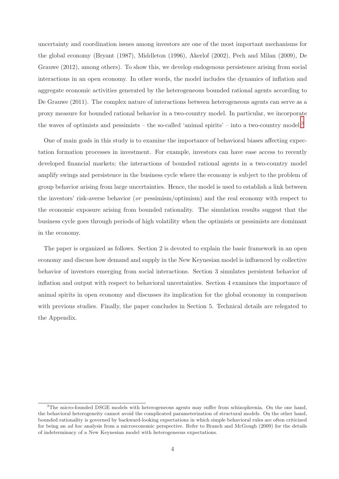uncertainty and coordination issues among investors are one of the most important mechanisms for the global economy (Bryant (1987), Middleton (1996), Akerlof (2002), Pech and Milan (2009), De Grauwe (2012), among others). To show this, we develop endogenous persistence arising from social interactions in an open economy. In other words, the model includes the dynamics of inflation and aggregate economic activities generated by the heterogeneous bounded rational agents according to De Grauwe (2011). The complex nature of interactions between heterogeneous agents can serve as a proxy measure for bounded rational behavior in a two-country model. In particular, we incorporate the waves of optimists and pessimists – the so-called 'animal spirits' – into a two-country model.<sup>[3](#page-4-0)</sup>

One of main goals in this study is to examine the importance of behavioral biases affecting expectation formation processes in investment. For example, investors can have ease access to recently developed financial markets; the interactions of bounded rational agents in a two-country model amplify swings and persistence in the business cycle where the economy is subject to the problem of group behavior arising from large uncertainties. Hence, the model is used to establish a link between the investors' risk-averse behavior (or pessimism/optimism) and the real economy with respect to the economic exposure arising from bounded rationality. The simulation results suggest that the business cycle goes through periods of high volatility when the optimists or pessimists are dominant in the economy.

The paper is organized as follows. Section 2 is devoted to explain the basic framework in an open economy and discuss how demand and supply in the New Keynesian model is influenced by collective behavior of investors emerging from social interactions. Section 3 simulates persistent behavior of inflation and output with respect to behavioral uncertainties. Section 4 examines the importance of animal spirits in open economy and discusses its implication for the global economy in comparison with previous studies. Finally, the paper concludes in Section 5. Technical details are relegated to the Appendix.

<span id="page-4-0"></span> $3$ The micro-founded DSGE models with heterogeneous agents may suffer from schizophrenia. On the one hand, the behavioral heterogeneity cannot avoid the complicated parameterization of structural models. On the other hand, bounded rationality is governed by backward-looking expectations in which simple behavioral rules are often criticized for being an ad hoc analysis from a microeconomic perspective. Refer to Branch and McGough (2009) for the details of indeterminacy of a New Keynesian model with heterogeneous expectations.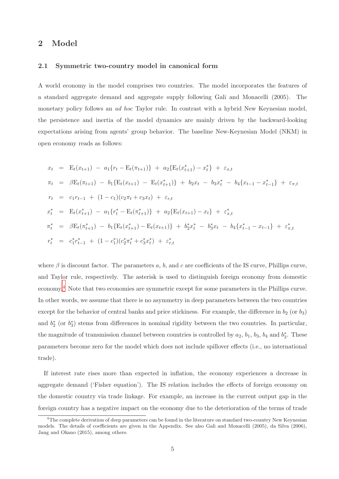## 2 Model

#### 2.1 Symmetric two-country model in canonical form

A world economy in the model comprises two countries. The model incorporates the features of a standard aggregate demand and aggregate supply following Gali and Monacelli (2005). The monetary policy follows an ad hoc Taylor rule. In contrast with a hybrid New Keynesian model, the persistence and inertia of the model dynamics are mainly driven by the backward-looking expectations arising from agents' group behavior. The baseline New-Keynesian Model (NKM) in open economy reads as follows:

$$
x_t = E_t(x_{t+1}) - a_1\{r_t - E_t(\pi_{t+1})\} + a_2\{E_t(x_{t+1}^*) - x_t^*\} + \varepsilon_{x,t}
$$
  
\n
$$
\pi_t = \beta E_t(\pi_{t+1}) - b_1\{E_t(x_{t+1}) - E_t(x_{t+1}^*)\} + b_2x_t - b_3x_t^* - b_4\{x_{t-1} - x_{t-1}^*\} + \varepsilon_{\pi,t}
$$
  
\n
$$
r_t = c_1r_{t-1} + (1 - c_1)(c_2\pi_t + c_3x_t) + \varepsilon_{r,t}
$$
  
\n
$$
x_t^* = E_t(x_{t+1}^*) - a_1\{r_t^* - E_t(\pi_{t+1}^*)\} + a_2\{E_t(x_{t+1}) - x_t\} + \varepsilon_{x,t}^*
$$
  
\n
$$
\pi_t^* = \beta E_t(\pi_{t+1}^*) - b_1\{E_t(x_{t+1}^*) - E_t(x_{t+1})\} + b_2^*x_t^* - b_3^*x_t - b_4\{x_{t-1}^* - x_{t-1}\} + \varepsilon_{\pi,t}^*
$$
  
\n
$$
r_t^* = c_1^*r_{t-1}^* + (1 - c_1^*)(c_2^*\pi_t^* + c_3^*x_t^*) + \varepsilon_{r,t}^*
$$

where  $\beta$  is discount factor. The parameters a, b, and c are coefficients of the IS curve, Phillips curve, and Taylor rule, respectively. The asterisk is used to distinguish foreign economy from domestic economy.[4](#page-5-0) Note that two economies are symmetric except for some parameters in the Phillips curve. In other words, we assume that there is no asymmetry in deep parameters between the two countries except for the behavior of central banks and price stickiness. For example, the difference in  $b_2$  (or  $b_3$ ) and  $b_2^*$  (or  $b_3^*$ ) stems from differences in nominal rigidity between the two countries. In particular, the magnitude of transmission channel between countries is controlled by  $a_2$ ,  $b_1$ ,  $b_3$ ,  $b_4$  and  $b_3^*$ . These parameters become zero for the model which does not include spillover effects (i.e., no international trade).

If interest rate rises more than expected in inflation, the economy experiences a decrease in aggregate demand ('Fisher equation'). The IS relation includes the effects of foreign economy on the domestic country via trade linkage. For example, an increase in the current output gap in the foreign country has a negative impact on the economy due to the deterioration of the terms of trade

<span id="page-5-0"></span> $4$ The complete derivation of deep parameters can be found in the literature on standard two-country New Keynesian models. The details of coefficients are given in the Appendix. See also Gali and Monacelli (2005), da Silva (2006), Jang and Okano (2015), among others.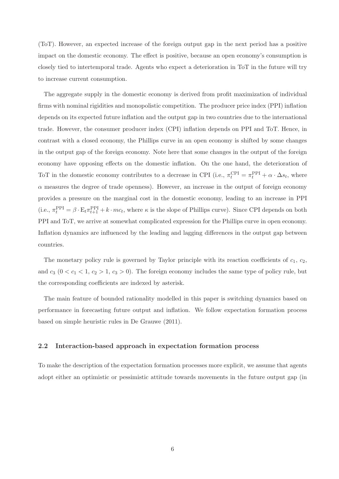(ToT). However, an expected increase of the foreign output gap in the next period has a positive impact on the domestic economy. The effect is positive, because an open economy's consumption is closely tied to intertemporal trade. Agents who expect a deterioration in ToT in the future will try to increase current consumption.

The aggregate supply in the domestic economy is derived from profit maximization of individual firms with nominal rigidities and monopolistic competition. The producer price index (PPI) inflation depends on its expected future inflation and the output gap in two countries due to the international trade. However, the consumer producer index (CPI) inflation depends on PPI and ToT. Hence, in contrast with a closed economy, the Phillips curve in an open economy is shifted by some changes in the output gap of the foreign economy. Note here that some changes in the output of the foreign economy have opposing effects on the domestic inflation. On the one hand, the deterioration of ToT in the domestic economy contributes to a decrease in CPI (i.e.,  $\pi_t^{\text{CPI}} = \pi_t^{\text{PPI}} + \alpha \cdot \Delta s_t$ , where  $\alpha$  measures the degree of trade openness). However, an increase in the output of foreign economy provides a pressure on the marginal cost in the domestic economy, leading to an increase in PPI (i.e.,  $\pi_t^{\text{PPI}} = \beta \cdot E_t \pi_{t+1}^{\text{PPI}} + k \cdot mc_t$ , where  $\kappa$  is the slope of Phillips curve). Since CPI depends on both PPI and ToT, we arrive at somewhat complicated expression for the Phillips curve in open economy. Inflation dynamics are influenced by the leading and lagging differences in the output gap between countries.

The monetary policy rule is governed by Taylor principle with its reaction coefficients of  $c_1, c_2$ , and  $c_3$   $(0 < c_1 < 1, c_2 > 1, c_3 > 0)$ . The foreign economy includes the same type of policy rule, but the corresponding coefficients are indexed by asterisk.

The main feature of bounded rationality modelled in this paper is switching dynamics based on performance in forecasting future output and inflation. We follow expectation formation process based on simple heuristic rules in De Grauwe (2011).

#### 2.2 Interaction-based approach in expectation formation process

To make the description of the expectation formation processes more explicit, we assume that agents adopt either an optimistic or pessimistic attitude towards movements in the future output gap (in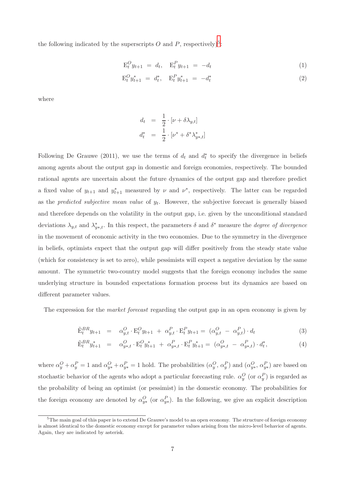the following indicated by the superscripts O and P, respectively)<sup>[5](#page-7-0)</sup>:

$$
\mathcal{E}_t^O y_{t+1} = d_t, \quad \mathcal{E}_t^P y_{t+1} = -d_t \tag{1}
$$

$$
\mathcal{E}_t^O y_{t+1}^* = d_t^*, \quad \mathcal{E}_t^P y_{t+1}^* = -d_t^* \tag{2}
$$

where

$$
d_t = \frac{1}{2} \cdot [\nu + \delta \lambda_{y,t}]
$$
  

$$
d_t^* = \frac{1}{2} \cdot [\nu^* + \delta^* \lambda_{y*,t}^*]
$$

Following De Grauwe (2011), we use the terms of  $d_t$  and  $d_t^*$  to specify the divergence in beliefs among agents about the output gap in domestic and foreign economies, respectively. The bounded rational agents are uncertain about the future dynamics of the output gap and therefore predict a fixed value of  $y_{t+1}$  and  $y_{t+1}^*$  measured by  $\nu$  and  $\nu^*$ , respectively. The latter can be regarded as the *predicted subjective mean value* of  $y_t$ . However, the subjective forecast is generally biased and therefore depends on the volatility in the output gap, i.e. given by the unconditional standard deviations  $\lambda_{y,t}$  and  $\lambda_{y*,t}^*$ . In this respect, the parameters  $\delta$  and  $\delta^*$  measure the *degree of divergence* in the movement of economic activity in the two economies. Due to the symmetry in the divergence in beliefs, optimists expect that the output gap will differ positively from the steady state value (which for consistency is set to zero), while pessimists will expect a negative deviation by the same amount. The symmetric two-country model suggests that the foreign economy includes the same underlying structure in bounded expectations formation process but its dynamics are based on different parameter values.

The expression for the *market forecast* regarding the output gap in an open economy is given by

<span id="page-7-1"></span>
$$
\tilde{\mathbf{E}}_t^{BR} y_{t+1} = \alpha_{y,t}^O \cdot \mathbf{E}_t^O y_{t+1} + \alpha_{y,t}^P \cdot \mathbf{E}_t^P y_{t+1} = (\alpha_{y,t}^O - \alpha_{y,t}^P) \cdot d_t \tag{3}
$$

$$
\tilde{\mathbf{E}}_t^{BR} y_{t+1}^* = \alpha_{y*,t}^O \cdot \mathbf{E}_t^O y_{t+1}^* + \alpha_{y*,t}^P \cdot \mathbf{E}_t^P y_{t+1}^* = (\alpha_{y*,t}^O - \alpha_{y*,t}^P) \cdot d_t^*,
$$
\n(4)

where  $\alpha_y^O + \alpha_y^P = 1$  and  $\alpha_{y*}^O + \alpha_{y*}^P = 1$  hold. The probabilities  $(\alpha_y^O, \alpha_y^P)$  and  $(\alpha_{y*}^O, \alpha_{y*}^P)$  are based on stochastic behavior of the agents who adopt a particular forecasting rule.  $\alpha_y^O$  (or  $\alpha_y^P$ ) is regarded as the probability of being an optimist (or pessimist) in the domestic economy. The probabilities for the foreign economy are denoted by  $\alpha_{y*}^O$  (or  $\alpha_{y*}^P$ ). In the following, we give an explicit description

<span id="page-7-0"></span><sup>&</sup>lt;sup>5</sup>The main goal of this paper is to extend De Grauwe's model to an open economy. The structure of foreign economy is almost identical to the domestic economy except for parameter values arising from the micro-level behavior of agents. Again, they are indicated by asterisk.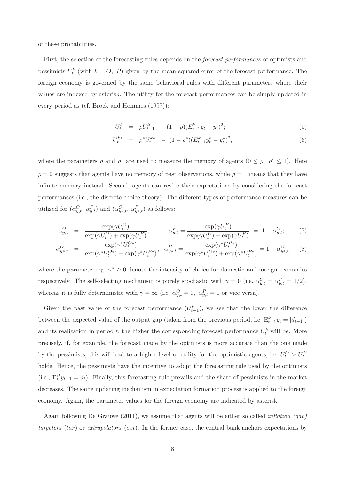of these probabilities.

First, the selection of the forecasting rules depends on the forecast performances of optimists and pessimists  $U_t^k$  (with  $k = 0, P$ ) given by the mean squared error of the forecast performance. The foreign economy is governed by the same behavioral rules with different parameters where their values are indexed by asterisk. The utility for the forecast performances can be simply updated in every period as (cf. Brock and Hommes (1997)):

$$
U_t^k = \rho U_{t-1}^k - (1 - \rho)(E_{t-1}^k y_t - y_t)^2; \tag{5}
$$

$$
U_t^{k*} = \rho^* U_{t-1}^{k*} - (1 - \rho^*) (E_{t-1}^k y_t^* - y_t^*)^2, \tag{6}
$$

where the parameters  $\rho$  and  $\rho^*$  are used to measure the memory of agents  $(0 \le \rho, \rho^* \le 1)$ . Here  $\rho = 0$  suggests that agents have no memory of past observations, while  $\rho = 1$  means that they have infinite memory instead. Second, agents can revise their expectations by considering the forecast performances (i.e., the discrete choice theory). The different types of performance measures can be utilized for  $(\alpha_{y,t}^O, \alpha_{y,t}^P)$  and  $(\alpha_{y*,t}^O, \alpha_{y*,t}^P)$  as follows:

$$
\alpha_{y,t}^O = \frac{\exp(\gamma U_t^O)}{\exp(\gamma U_t^O) + \exp(\gamma U_t^P)}, \qquad \alpha_{y,t}^P = \frac{\exp(\gamma U_t^P)}{\exp(\gamma U_t^O) + \exp(\gamma U_t^P)} = 1 - \alpha_{y,t}^O; \qquad (7)
$$

$$
\alpha_{y*,t}^O = \frac{\exp(\gamma^* U_t^{O*})}{\exp(\gamma^* U_t^{O*}) + \exp(\gamma^* U_t^{P*})}, \quad \alpha_{y*,t}^P = \frac{\exp(\gamma^* U_t^{P*})}{\exp(\gamma^* U_t^{O*}) + \exp(\gamma^* U_t^{P*})} = 1 - \alpha_{y*,t}^O \tag{8}
$$

where the parameters  $\gamma, \gamma^* \geq 0$  denote the intensity of choice for domestic and foreign economies respectively. The self-selecting mechanism is purely stochastic with  $\gamma = 0$  (i.e.  $\alpha_{y,t}^O = \alpha_{y,t}^P = 1/2$ ), whereas it is fully deterministic with  $\gamma = \infty$  (i.e.  $\alpha_{y,t}^O = 0$ ,  $\alpha_{y,t}^P = 1$  or vice versa).

Given the past value of the forecast performance  $(U_{t-1}^k)$ , we see that the lower the difference between the expected value of the output gap (taken from the previous period, i.e.  $E_{t-1}^k y_t = |d_{t-1}|$ ) and its realization in period t, the higher the corresponding forecast performance  $U_t^k$  will be. More precisely, if, for example, the forecast made by the optimists is more accurate than the one made by the pessimists, this will lead to a higher level of utility for the optimistic agents, i.e.  $U_t^O > U_t^F$ holds. Hence, the pessimists have the incentive to adopt the forecasting rule used by the optimists (i.e.,  $E_t^O y_{t+1} = d_t$ ). Finally, this forecasting rule prevails and the share of pessimists in the market decreases. The same updating mechanism in expectation formation process is applied to the foreign economy. Again, the parameter values for the foreign economy are indicated by asterisk.

Again following De Grauwe (2011), we assume that agents will be either so called *inflation* (gap) targeters (tar) or extrapolators (ext). In the former case, the central bank anchors expectations by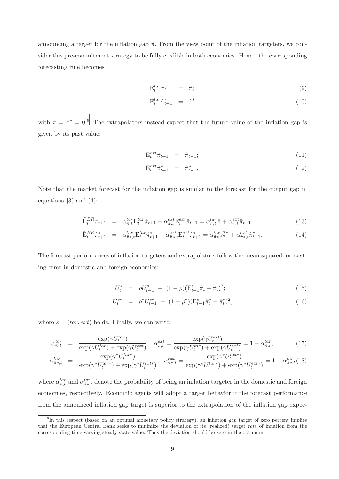announcing a target for the inflation gap  $\bar{\hat{\pi}}$ . From the view point of the inflation targeters, we consider this pre-commitment strategy to be fully credible in both economies. Hence, the corresponding forecasting rule becomes

$$
\mathcal{E}_t^{\text{tar}} \hat{\pi}_{t+1} = \bar{\hat{\pi}}; \tag{9}
$$

$$
\mathcal{E}_t^{tar} \hat{\pi}_{t+1}^* = \bar{\hat{\pi}}^* \tag{10}
$$

with  $\bar{\hat{\pi}} = \bar{\hat{\pi}}^* = 0.6$  $\bar{\hat{\pi}} = \bar{\hat{\pi}}^* = 0.6$  The extrapolators instead expect that the future value of the inflation gap is given by its past value:

$$
\mathcal{E}_t^{ext}\hat{\pi}_{t+1} = \hat{\pi}_{t-1};\tag{11}
$$

$$
\mathcal{E}_t^{ext} \hat{\pi}_{t+1}^* = \hat{\pi}_{t-1}^*.
$$
 (12)

Note that the market forecast for the inflation gap is similar to the forecast for the output gap in equations  $(3)$  and  $(4)$ :

$$
\tilde{\mathbf{E}}_t^{BR} \hat{\pi}_{t+1} = \alpha_{\hat{\pi},t}^{tar} \mathbf{E}_t^{tar} \hat{\pi}_{t+1} + \alpha_{\hat{\pi},t}^{ext} \mathbf{E}_t^{ext} \hat{\pi}_{t+1} = \alpha_{\hat{\pi},t}^{tar} \hat{\pi} + \alpha_{\hat{\pi},t}^{ext} \hat{\pi}_{t-1};
$$
\n(13)

$$
\tilde{\mathbf{E}}_{t}^{BR} \hat{\pi}_{t+1}^{*} = \alpha_{\hat{\pi}_{*},t}^{tar} \mathbf{E}_{t}^{tar} \hat{\pi}_{t+1}^{*} + \alpha_{\hat{\pi}_{*},t}^{ext} \mathbf{E}_{t}^{ext} \hat{\pi}_{t+1}^{*} = \alpha_{\hat{\pi}_{*},t}^{tar} \tilde{\pi}^{*} + \alpha_{\hat{\pi}_{*},t}^{ext} \hat{\pi}_{t-1}^{*}.
$$
\n(14)

The forecast performances of inflation targeters and extrapolators follow the mean squared forecasting error in domestic and foreign economies:

$$
U_t^s = \rho U_{t-1}^s - (1 - \rho)(E_{t-1}^s \hat{\pi}_t - \hat{\pi}_t)^2; \tag{15}
$$

$$
U_t^{s*} = \rho^* U_{t-1}^{s*} - (1 - \rho^*) (\mathcal{E}_{t-1}^s \hat{\pi}_t^* - \hat{\pi}_t^*)^2, \tag{16}
$$

where  $s = (tar, ext)$  holds. Finally, we can write:

$$
\alpha_{\hat{\pi},t}^{tar} = \frac{\exp(\gamma U_t^{tar})}{\exp(\gamma U_t^{tar}) + \exp(\gamma U_t^{ext})}, \quad \alpha_{\hat{\pi},t}^{ext} = \frac{\exp(\gamma U_t^{ext})}{\exp(\gamma U_t^{tar}) + \exp(\gamma U_t^{ext})} = 1 - \alpha_{\hat{\pi},t}^{tar};\tag{17}
$$

$$
\alpha_{\hat{\pi}^*,t}^{tar} = \frac{\exp(\gamma^* U_t^{tar*})}{\exp(\gamma^* U_t^{tar*}) + \exp(\gamma^* U_t^{ext*})}, \quad \alpha_{\hat{\pi}^*,t}^{ext} = \frac{\exp(\gamma^* U_t^{ext*})}{\exp(\gamma^* U_t^{tar*}) + \exp(\gamma^* U_t^{ext*})} = 1 - \alpha_{\hat{\pi}^*,t}^{tar}(18)
$$

where  $\alpha_{\hat{\pi},t}^{tar}$  and  $\alpha_{\hat{\pi}*,t}^{tar}$  denote the probability of being an inflation targeter in the domestic and foreign economies, respectively. Economic agents will adopt a target behavior if the forecast performance from the announced inflation gap target is superior to the extrapolation of the inflation gap expec-

<span id="page-9-0"></span><sup>&</sup>lt;sup>6</sup>In this respect (based on an optimal monetary policy strategy), an inflation gap target of zero percent implies that the European Central Bank seeks to minimize the deviation of its (realized) target rate of inflation from the corresponding time-varying steady state value. Thus the deviation should be zero in the optimum.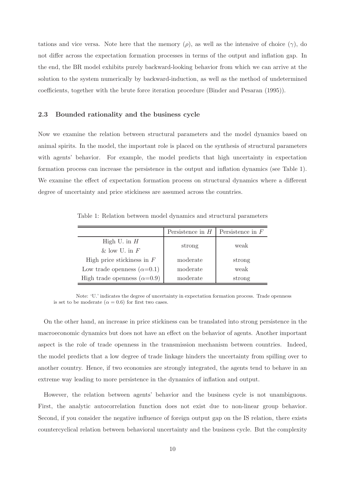tations and vice versa. Note here that the memory  $(\rho)$ , as well as the intensive of choice  $(\gamma)$ , do not differ across the expectation formation processes in terms of the output and inflation gap. In the end, the BR model exhibits purely backward-looking behavior from which we can arrive at the solution to the system numerically by backward-induction, as well as the method of undetermined coefficients, together with the brute force iteration procedure (Binder and Pesaran (1995)).

#### 2.3 Bounded rationality and the business cycle

Now we examine the relation between structural parameters and the model dynamics based on animal spirits. In the model, the important role is placed on the synthesis of structural parameters with agents' behavior. For example, the model predicts that high uncertainty in expectation formation process can increase the persistence in the output and inflation dynamics (see Table 1). We examine the effect of expectation formation process on structural dynamics where a different degree of uncertainty and price stickiness are assumed across the countries.

Table 1: Relation between model dynamics and structural parameters

|                                    | Persistence in $H$ | Persistence in $F$ |  |
|------------------------------------|--------------------|--------------------|--|
| High U. in $H$                     | strong             | weak               |  |
| & low U. in $F$                    |                    |                    |  |
| High price stickiness in $F$       | moderate           | strong             |  |
| Low trade openness $(\alpha=0.1)$  | moderate           | weak               |  |
| High trade openness $(\alpha=0.9)$ | moderate           | strong             |  |

Note: 'U.' indicates the degree of uncertainty in expectation formation process. Trade openness is set to be moderate ( $\alpha = 0.6$ ) for first two cases.

On the other hand, an increase in price stickiness can be translated into strong persistence in the macroeconomic dynamics but does not have an effect on the behavior of agents. Another important aspect is the role of trade openness in the transmission mechanism between countries. Indeed, the model predicts that a low degree of trade linkage hinders the uncertainty from spilling over to another country. Hence, if two economies are strongly integrated, the agents tend to behave in an extreme way leading to more persistence in the dynamics of inflation and output.

However, the relation between agents' behavior and the business cycle is not unambiguous. First, the analytic autocorrelation function does not exist due to non-linear group behavior. Second, if you consider the negative influence of foreign output gap on the IS relation, there exists countercyclical relation between behavioral uncertainty and the business cycle. But the complexity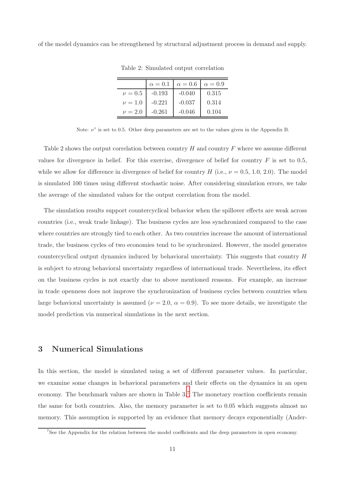of the model dynamics can be strengthened by structural adjustment process in demand and supply.

|             | $\alpha=0.1$ | $\alpha = 0.6$ | $\alpha = 0.9$ |
|-------------|--------------|----------------|----------------|
| $\nu = 0.5$ | $-0.193$     | $-0.040$       | 0.315          |
| $\nu = 1.0$ | $-0.221$     | $-0.037$       | 0.314          |
| $\nu = 2.0$ | $-0.261$     | $-0.046$       | 0.104          |

Table 2: Simulated output correlation

Note:  $\nu^*$  is set to 0.5. Other deep parameters are set to the values given in the Appendix B.

Table 2 shows the output correlation between country  $H$  and country  $F$  where we assume different values for divergence in belief. For this exercise, divergence of belief for country  $F$  is set to 0.5, while we allow for difference in divergence of belief for country H (i.e.,  $\nu = 0.5, 1.0, 2.0$ ). The model is simulated 100 times using different stochastic noise. After considering simulation errors, we take the average of the simulated values for the output correlation from the model.

The simulation results support countercyclical behavior when the spillover effects are weak across countries (i.e., weak trade linkage). The business cycles are less synchronized compared to the case where countries are strongly tied to each other. As two countries increase the amount of international trade, the business cycles of two economies tend to be synchronized. However, the model generates countercyclical output dynamics induced by behavioral uncertainty. This suggests that country H is subject to strong behavioral uncertainty regardless of international trade. Nevertheless, its effect on the business cycles is not exactly due to above mentioned reasons. For example, an increase in trade openness does not improve the synchronization of business cycles between countries when large behavioral uncertainty is assumed ( $\nu = 2.0$ ,  $\alpha = 0.9$ ). To see more details, we investigate the model prediction via numerical simulations in the next section.

## 3 Numerical Simulations

In this section, the model is simulated using a set of different parameter values. In particular, we examine some changes in behavioral parameters and their effects on the dynamics in an open economy. The benchmark values are shown in Table  $3<sup>7</sup>$  $3<sup>7</sup>$  $3<sup>7</sup>$ . The monetary reaction coefficients remain the same for both countries. Also, the memory parameter is set to 0.05 which suggests almost no memory. This assumption is supported by an evidence that memory decays exponentially (Ander-

<span id="page-11-0"></span><sup>&</sup>lt;sup>7</sup>See the Appendix for the relation between the model coefficients and the deep parameters in open economy.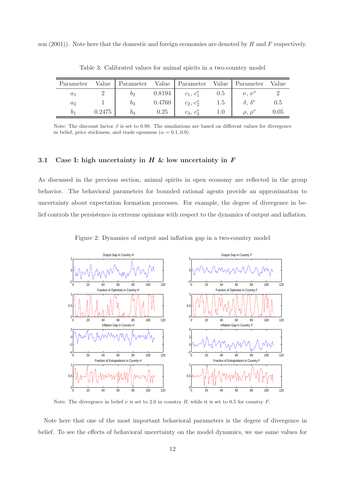son  $(2001)$ ). Note here that the domestic and foreign economies are denoted by H and F respectively.

| Parameter | Value  | Parameter      | Value  | Parameter    | Value   | Parameter         | Value    |
|-----------|--------|----------------|--------|--------------|---------|-------------------|----------|
| $a_1$     |        | 09             | 0.8194 | $c_1, c_1^*$ | 0.5     | $\nu, \nu^*$      |          |
| $a_2$     |        | $_{03}$        | 0.4760 | $c_2, c_2^*$ | $1.5\,$ |                   | 0.5      |
| D1        | 0.2475 | O <sub>A</sub> | 0.25   | $c_3, c_3^*$ |         | $\rho$ , $\rho^*$ | $0.05\,$ |

Table 3: Calibrated values for animal spirits in a two-country model

Note: The discount factor  $\beta$  is set to 0.99. The simulations are based on different values for divergence in belief, price stickiness, and trade openness ( $\alpha = 0.1, 0.9$ ).

#### 3.1 Case I: high uncertainty in  $H \&$  low uncertainty in  $F$

As discussed in the previous section, animal spirits in open economy are reflected in the group behavior. The behavioral parameters for bounded rational agents provide an approximation to uncertainty about expectation formation processes. For example, the degree of divergence in belief controls the persistence in extreme opinions with respect to the dynamics of output and inflation.

Figure 2: Dynamics of output and inflation gap in a two-country model



Note: The divergence in belief  $\nu$  is set to 2.0 in country H, while it is set to 0.5 for country F.

Note here that one of the most important behavioral parameters is the degree of divergence in belief. To see the effects of behavioral uncertainty on the model dynamics, we use same values for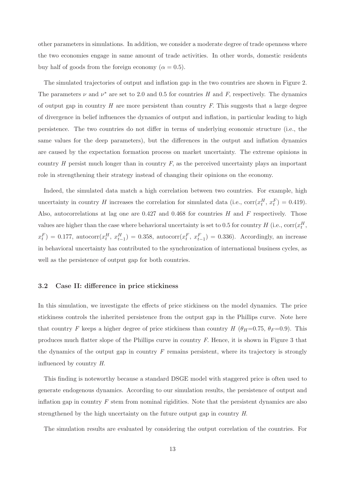other parameters in simulations. In addition, we consider a moderate degree of trade openness where the two economies engage in same amount of trade activities. In other words, domestic residents buy half of goods from the foreign economy ( $\alpha = 0.5$ ).

The simulated trajectories of output and inflation gap in the two countries are shown in Figure 2. The parameters  $\nu$  and  $\nu^*$  are set to 2.0 and 0.5 for countries H and F, respectively. The dynamics of output gap in country  $H$  are more persistent than country  $F$ . This suggests that a large degree of divergence in belief influences the dynamics of output and inflation, in particular leading to high persistence. The two countries do not differ in terms of underlying economic structure (i.e., the same values for the deep parameters), but the differences in the output and inflation dynamics are caused by the expectation formation process on market uncertainty. The extreme opinions in country  $H$  persist much longer than in country  $F$ , as the perceived uncertainty plays an important role in strengthening their strategy instead of changing their opinions on the economy.

Indeed, the simulated data match a high correlation between two countries. For example, high uncertainty in country H increases the correlation for simulated data (i.e.,  $corr(x_t^H, x_t^F) = 0.419$ ). Also, autocorrelations at lag one are  $0.427$  and  $0.468$  for countries H and F respectively. Those values are higher than the case where behavioral uncertainty is set to 0.5 for country  $H$  (i.e.,  $\text{corr}(x_t^H)$ ,  $x_t^F$  = 0.177, autocorr $(x_t^H, x_{t-1}^H)$  = 0.358, autocorr $(x_t^F, x_{t-1}^F)$  = 0.336). Accordingly, an increase in behavioral uncertainty has contributed to the synchronization of international business cycles, as well as the persistence of output gap for both countries.

#### 3.2 Case II: difference in price stickiness

In this simulation, we investigate the effects of price stickiness on the model dynamics. The price stickiness controls the inherited persistence from the output gap in the Phillips curve. Note here that country F keeps a higher degree of price stickiness than country H  $(\theta_H=0.75, \theta_F=0.9)$ . This produces much flatter slope of the Phillips curve in country F. Hence, it is shown in Figure 3 that the dynamics of the output gap in country  $F$  remains persistent, where its trajectory is strongly influenced by country H.

This finding is noteworthy because a standard DSGE model with staggered price is often used to generate endogenous dynamics. According to our simulation results, the persistence of output and inflation gap in country  $F$  stem from nominal rigidities. Note that the persistent dynamics are also strengthened by the high uncertainty on the future output gap in country H.

The simulation results are evaluated by considering the output correlation of the countries. For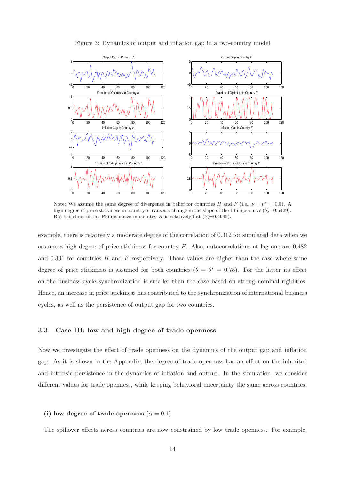

Figure 3: Dynamics of output and inflation gap in a two-country model

Note: We assume the same degree of divergence in belief for countries H and F (i.e.,  $\nu = \nu^* = 0.5$ ). A high degree of price stickiness in country F causes a change in the slope of the Phillips curve  $(b_2^* = 0.5429)$ . But the slope of the Philips curve in country H is relatively flat  $(b_3^* = 0.4945)$ .

example, there is relatively a moderate degree of the correlation of 0.312 for simulated data when we assume a high degree of price stickiness for country F. Also, autocorrelations at lag one are 0.482 and 0.331 for countries  $H$  and  $F$  respectively. Those values are higher than the case where same degree of price stickiness is assumed for both countries  $(\theta = \theta^* = 0.75)$ . For the latter its effect on the business cycle synchronization is smaller than the case based on strong nominal rigidities. Hence, an increase in price stickiness has contributed to the synchronization of international business cycles, as well as the persistence of output gap for two countries.

#### 3.3 Case III: low and high degree of trade openness

Now we investigate the effect of trade openness on the dynamics of the output gap and inflation gap. As it is shown in the Appendix, the degree of trade openness has an effect on the inherited and intrinsic persistence in the dynamics of inflation and output. In the simulation, we consider different values for trade openness, while keeping behavioral uncertainty the same across countries.

#### (i) low degree of trade openness  $(\alpha = 0.1)$

The spillover effects across countries are now constrained by low trade openness. For example,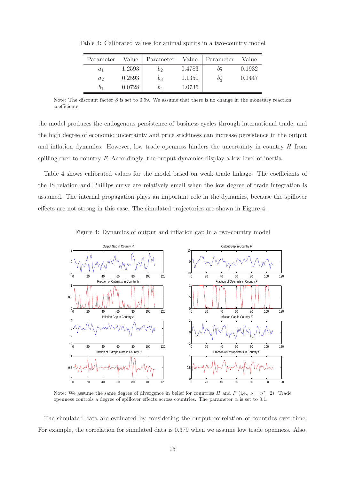| Parameter | Value  | Parameter | Value  | Parameter | Value  |
|-----------|--------|-----------|--------|-----------|--------|
| $a_1$     | 1.2593 | $b_2$     | 0.4783 | $b^*$     | 0.1932 |
| $a_2$     | 0.2593 | b3        | 0.1350 | $b_3^*$   | 0.1447 |
| O1        | 0.0728 | O4        | 0.0735 |           |        |

Table 4: Calibrated values for animal spirits in a two-country model

Note: The discount factor  $\beta$  is set to 0.99. We assume that there is no change in the monetary reaction coefficients.

the model produces the endogenous persistence of business cycles through international trade, and the high degree of economic uncertainty and price stickiness can increase persistence in the output and inflation dynamics. However, low trade openness hinders the uncertainty in country H from spilling over to country F. Accordingly, the output dynamics display a low level of inertia.

Table 4 shows calibrated values for the model based on weak trade linkage. The coefficients of the IS relation and Phillips curve are relatively small when the low degree of trade integration is assumed. The internal propagation plays an important role in the dynamics, because the spillover effects are not strong in this case. The simulated trajectories are shown in Figure 4.

Figure 4: Dynamics of output and inflation gap in a two-country model



Note: We assume the same degree of divergence in belief for countries H and F (i.e.,  $\nu = \nu^* = 2$ ). Trade openness controls a degree of spillover effects across countries. The parameter  $\alpha$  is set to 0.1.

The simulated data are evaluated by considering the output correlation of countries over time. For example, the correlation for simulated data is 0.379 when we assume low trade openness. Also,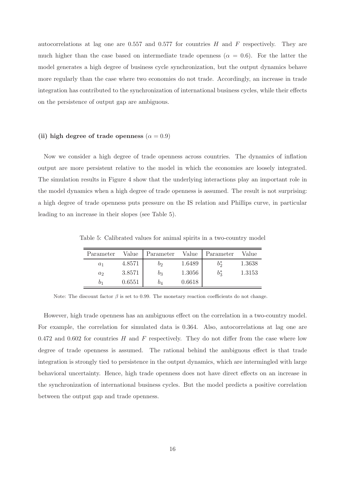autocorrelations at lag one are 0.557 and 0.577 for countries  $H$  and  $F$  respectively. They are much higher than the case based on intermediate trade openness ( $\alpha = 0.6$ ). For the latter the model generates a high degree of business cycle synchronization, but the output dynamics behave more regularly than the case where two economies do not trade. Accordingly, an increase in trade integration has contributed to the synchronization of international business cycles, while their effects on the persistence of output gap are ambiguous.

#### (ii) high degree of trade openness ( $\alpha = 0.9$ )

Now we consider a high degree of trade openness across countries. The dynamics of inflation output are more persistent relative to the model in which the economies are loosely integrated. The simulation results in Figure 4 show that the underlying interactions play an important role in the model dynamics when a high degree of trade openness is assumed. The result is not surprising: a high degree of trade openness puts pressure on the IS relation and Phillips curve, in particular leading to an increase in their slopes (see Table 5).

| Parameter |        | Value Parameter Value Parameter Value |        |        |
|-----------|--------|---------------------------------------|--------|--------|
| $a_1$     | 4.8571 | Οo                                    | 1.6489 | 1.3638 |

∗ 3

1.3153

Table 5: Calibrated values for animal spirits in a two-country model

Note: The discount factor  $\beta$  is set to 0.99. The monetary reaction coefficients do not change.

 $a_2$  3.8571  $b_3$  1.3056

 $b_1$  0.6551  $b_4$  0.6618

However, high trade openness has an ambiguous effect on the correlation in a two-country model. For example, the correlation for simulated data is 0.364. Also, autocorrelations at lag one are 0.472 and 0.602 for countries  $H$  and  $F$  respectively. They do not differ from the case where low degree of trade openness is assumed. The rational behind the ambiguous effect is that trade integration is strongly tied to persistence in the output dynamics, which are intermingled with large behavioral uncertainty. Hence, high trade openness does not have direct effects on an increase in the synchronization of international business cycles. But the model predicts a positive correlation between the output gap and trade openness.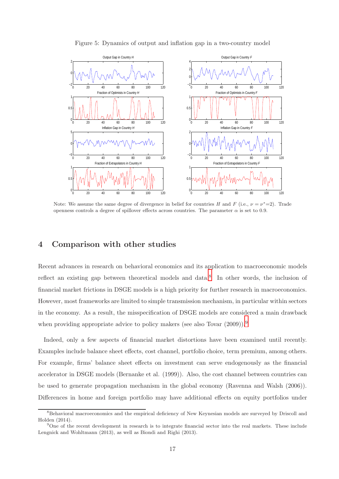

Figure 5: Dynamics of output and inflation gap in a two-country model

Note: We assume the same degree of divergence in belief for countries H and F (i.e.,  $\nu = \nu^* = 2$ ). Trade openness controls a degree of spillover effects across countries. The parameter  $\alpha$  is set to 0.9.

# 4 Comparison with other studies

Recent advances in research on behavioral economics and its application to macroeconomic models reflect an existing gap between theoretical models and data.<sup>[8](#page-17-0)</sup> In other words, the inclusion of financial market frictions in DSGE models is a high priority for further research in macroeconomics. However, most frameworks are limited to simple transmission mechanism, in particular within sectors in the economy. As a result, the misspecification of DSGE models are considered a main drawback when providing appropriate advice to policy makers (see also Tovar  $(2009)$  $(2009)$  $(2009)$ ).<sup>9</sup>

Indeed, only a few aspects of financial market distortions have been examined until recently. Examples include balance sheet effects, cost channel, portfolio choice, term premium, among others. For example, firms' balance sheet effects on investment can serve endogenously as the financial accelerator in DSGE models (Bernanke et al. (1999)). Also, the cost channel between countries can be used to generate propagation mechanism in the global economy (Ravenna and Walsh (2006)). Differences in home and foreign portfolio may have additional effects on equity portfolios under

<span id="page-17-0"></span><sup>&</sup>lt;sup>8</sup>Behavioral macroeconomics and the empirical deficiency of New Keynesian models are surveyed by Driscoll and Holden (2014).

<span id="page-17-1"></span><sup>9</sup>One of the recent development in research is to integrate financial sector into the real markets. These include Lengnick and Wohltmann (2013), as well as Biondi and Righi (2013).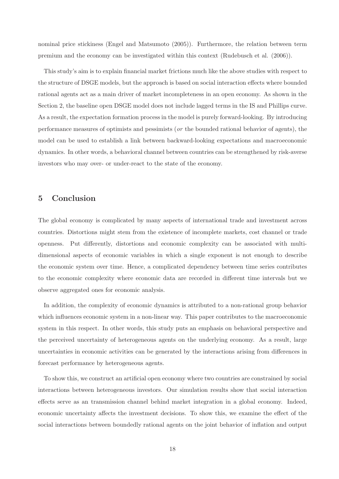nominal price stickiness (Engel and Matsumoto (2005)). Furthermore, the relation between term premium and the economy can be investigated within this context (Rudebusch et al. (2006)).

This study's aim is to explain financial market frictions much like the above studies with respect to the structure of DSGE models, but the approach is based on social interaction effects where bounded rational agents act as a main driver of market incompleteness in an open economy. As shown in the Section 2, the baseline open DSGE model does not include lagged terms in the IS and Phillips curve. As a result, the expectation formation process in the model is purely forward-looking. By introducing performance measures of optimists and pessimists (or the bounded rational behavior of agents), the model can be used to establish a link between backward-looking expectations and macroeconomic dynamics. In other words, a behavioral channel between countries can be strengthened by risk-averse investors who may over- or under-react to the state of the economy.

# 5 Conclusion

The global economy is complicated by many aspects of international trade and investment across countries. Distortions might stem from the existence of incomplete markets, cost channel or trade openness. Put differently, distortions and economic complexity can be associated with multidimensional aspects of economic variables in which a single exponent is not enough to describe the economic system over time. Hence, a complicated dependency between time series contributes to the economic complexity where economic data are recorded in different time intervals but we observe aggregated ones for economic analysis.

In addition, the complexity of economic dynamics is attributed to a non-rational group behavior which influences economic system in a non-linear way. This paper contributes to the macroeconomic system in this respect. In other words, this study puts an emphasis on behavioral perspective and the perceived uncertainty of heterogeneous agents on the underlying economy. As a result, large uncertainties in economic activities can be generated by the interactions arising from differences in forecast performance by heterogeneous agents.

To show this, we construct an artificial open economy where two countries are constrained by social interactions between heterogeneous investors. Our simulation results show that social interaction effects serve as an transmission channel behind market integration in a global economy. Indeed, economic uncertainty affects the investment decisions. To show this, we examine the effect of the social interactions between boundedly rational agents on the joint behavior of inflation and output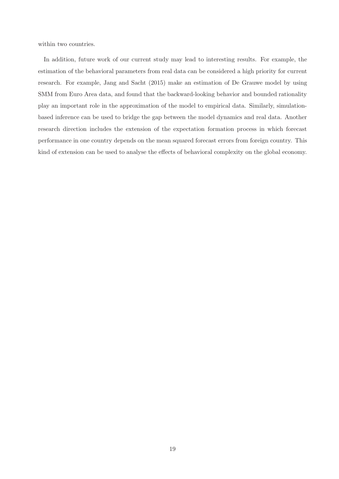within two countries.

In addition, future work of our current study may lead to interesting results. For example, the estimation of the behavioral parameters from real data can be considered a high priority for current research. For example, Jang and Sacht (2015) make an estimation of De Grauwe model by using SMM from Euro Area data, and found that the backward-looking behavior and bounded rationality play an important role in the approximation of the model to empirical data. Similarly, simulationbased inference can be used to bridge the gap between the model dynamics and real data. Another research direction includes the extension of the expectation formation process in which forecast performance in one country depends on the mean squared forecast errors from foreign country. This kind of extension can be used to analyse the effects of behavioral complexity on the global economy.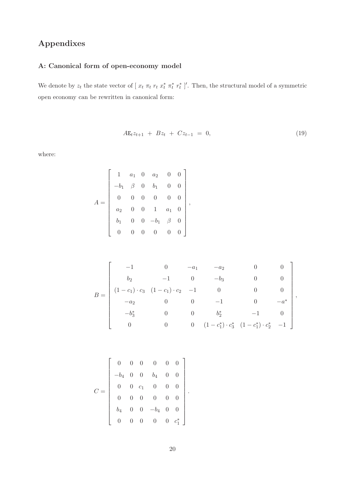# Appendixes

# A: Canonical form of open-economy model

We denote by  $z_t$  the state vector of  $[x_t \pi_t r_t x_t^* r_t^*]'$ . Then, the structural model of a symmetric open economy can be rewritten in canonical form:

$$
A\mathbf{E}_t z_{t+1} + B z_t + C z_{t-1} = 0, \tag{19}
$$

where:

$$
A = \begin{bmatrix} 1 & a_1 & 0 & a_2 & 0 & 0 \\ -b_1 & \beta & 0 & b_1 & 0 & 0 \\ 0 & 0 & 0 & 0 & 0 & 0 \\ a_2 & 0 & 0 & 1 & a_1 & 0 \\ b_1 & 0 & 0 & -b_1 & \beta & 0 \\ 0 & 0 & 0 & 0 & 0 & 0 \end{bmatrix},
$$

$$
B = \begin{bmatrix} -1 & 0 & -a_1 & -a_2 & 0 & 0 \\ b_2 & -1 & 0 & -b_3 & 0 & 0 \\ (1-c_1)\cdot c_3 & (1-c_1)\cdot c_2 & -1 & 0 & 0 & 0 \\ -a_2 & 0 & 0 & -1 & 0 & -a^* \\ -b_3^* & 0 & 0 & b_2^* & -1 & 0 \\ 0 & 0 & 0 & (1-c_1^*)\cdot c_3^* & (1-c_1^*)\cdot c_2^* & -1 \end{bmatrix},
$$

|  | $\begin{bmatrix} 0 & 0 & 0 & 0 & 0 & 0 \ -b_4 & 0 & 0 & b_4 & 0 & 0 \ 0 & 0 & c_1 & 0 & 0 & 0 \ 0 & 0 & 0 & 0 & 0 & 0 \ b_4 & 0 & 0 & -b_4 & 0 & 0 \ 0 & 0 & 0 & 0 & c_1^* \end{bmatrix}$ |  |  |  |
|--|-------------------------------------------------------------------------------------------------------------------------------------------------------------------------------------------|--|--|--|
|  |                                                                                                                                                                                           |  |  |  |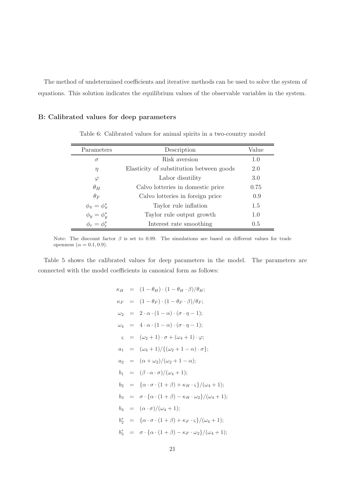The method of undetermined coefficients and iterative methods can be used to solve the system of equations. This solution indicates the equilibrium values of the observable variables in the system.

#### B: Calibrated values for deep parameters

| Parameters                  | Description                              | Value |
|-----------------------------|------------------------------------------|-------|
| $\sigma$                    | Risk aversion                            | 1.0   |
| $\eta$                      | Elasticity of substitution between goods | 2.0   |
| $\varphi$                   | Labor disutility                         | 3.0   |
| $\theta_H$                  | Calvo lotteries in domestic price        | 0.75  |
| $\theta_F$                  | Calvo lotteries in foreign price         | 0.9   |
| $\phi_{\pi} = \phi_{\pi}^*$ | Taylor rule inflation                    | 1.5   |
| $\phi_y = \phi_y^*$         | Taylor rule output growth                | 1.0   |
| $\phi_r = \phi_r^*$         | Interest rate smoothing                  | 0.5   |
|                             |                                          |       |

Table 6: Calibrated values for animal spirits in a two-country model

Note: The discount factor  $\beta$  is set to 0.99. The simulations are based on different values for trade openness  $(\alpha = 0.1, 0.9)$ .

Table 5 shows the calibrated values for deep parameters in the model. The parameters are connected with the model coefficients in canonical form as follows:

$$
\kappa_H = (1 - \theta_H) \cdot (1 - \theta_H \cdot \beta) / \theta_H;
$$
  
\n
$$
\kappa_F = (1 - \theta_F) \cdot (1 - \theta_F \cdot \beta) / \theta_F;
$$
  
\n
$$
\omega_2 = 2 \cdot \alpha \cdot (1 - \alpha) \cdot (\sigma \cdot \eta - 1);
$$
  
\n
$$
\omega_4 = 4 \cdot \alpha \cdot (1 - \alpha) \cdot (\sigma \cdot \eta - 1);
$$
  
\n
$$
\varsigma = (\omega_2 + 1) \cdot \sigma + (\omega_4 + 1) \cdot \varphi;
$$
  
\n
$$
a_1 = (\omega_4 + 1) / \{(\omega_2 + 1 - \alpha) \cdot \sigma\};
$$
  
\n
$$
a_2 = (\alpha + \omega_2) / (\omega_2 + 1 - \alpha);
$$
  
\n
$$
b_1 = (\beta \cdot \alpha \cdot \sigma) / (\omega_4 + 1);
$$
  
\n
$$
b_2 = \{\alpha \cdot \sigma \cdot (1 + \beta) + \kappa_H \cdot \varsigma\} / (\omega_4 + 1);
$$
  
\n
$$
b_3 = \sigma \cdot \{\alpha \cdot (1 + \beta) - \kappa_H \cdot \omega_2\} / (\omega_4 + 1);
$$
  
\n
$$
b_4 = (\alpha \cdot \sigma) / (\omega_4 + 1);
$$
  
\n
$$
b_3^* = \sigma \cdot \{\alpha \cdot (1 + \beta) - \kappa_F \cdot \varsigma\} / (\omega_4 + 1);
$$
  
\n
$$
b_3^* = \sigma \cdot \{\alpha \cdot (1 + \beta) - \kappa_F \cdot \omega_2\} / (\omega_4 + 1);
$$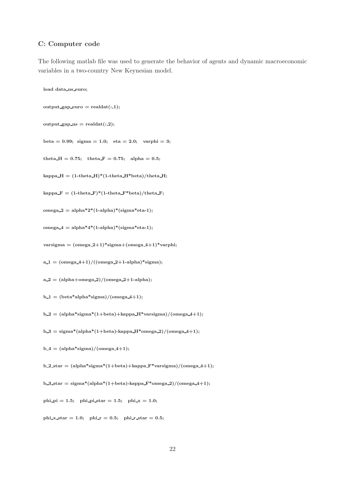#### C: Computer code

The following matlab file was used to generate the behavior of agents and dynamic macroeconomic variables in a two-country New Keynesian model.

```
load data us euro;
output\_gap\_euro = realdat(:,1);output\_gap\_us = readdat(:,2);beta = 0.99; sigma = 1.0; eta = 2.0; varphi = 3;
theta H = 0.75; theta F = 0.75; alpha = 0.5;
kappa H = (1-theta H<sup>*</sup>(1-theta H<sup>*</sup>beta)/theta H;
kappa F = (1 - \text{theta_F}) * (1 - \text{theta_F}) * \text{beta_F};omega 2 = \text{alpha*2*(1-alpha)*(sigma*eta-1)};
omega4 = \text{alpha*4*(1-alpha)*}(\text{sigma*eta-1});varsigma = (omega_2+1)*sigma+(omega_4+1)*varphi;a_1 = \frac{1 - \frac{1}{2}}{(\omega_1 + \omega_2)} (omega2 + 1-alpha)*sigma);
a_2 = (alpha+1) / (omega+2)b_1 = (beta*alpha*sigma)/(omegaqa_4+1);b_2 = (alpha*signa*(1+beta)+kappa_H*varsigma)/(omega_4+1);b_3 = \text{sigma*(alpha*(1+beta)-kappa_H*omega-2)/(omegaa_4+1)};b_4 = (alpha*signa)/(omega+4);b_2_star = (alpha*signa*(1+beta)+kappa_F*varsigma)/(omega4-4+1);b 3 star = sigma*(alpha*(1+beta)-kappa F*omega 2)/(omega 4+1);
phi pi = 1.5; phi pi star = 1.5; phi x = 1.0;
phi x star = 1.0; phi r = 0.5; phi r star = 0.5;
```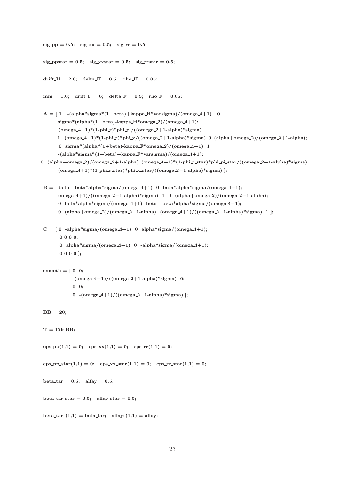```
sig-pp = 0.5; sig-xx = 0.5; sig-rr = 0.5;
 sig\_{\text{ppfar}} = 0.5; \text{ sig}\_{\text{xxstar}} = 0.5; \text{ sig}\_{\text{xstar}} = 0.5;drift H = 2.0; delta H = 0.5; rho H = 0.05;
 mm = 1.0; drift F = 6; delta F = 0.5; rho F = 0.05;A = \begin{bmatrix} 1 & -(\text{alpha}^*)\text{diag}((1+\text{beta})+\text{alpha} + \text{average}((1+\text{beta}))\end{bmatrix}sigma*(alpha*(1+beta)-kappa H*omega(2)/(omega(4+1));(omega_4+1)*(1-phi_1)*(phi_1)+phi_2i/((omega_2+1-alpha)*sigma_1)1+(\text{omega}_2-4+1)*(1-\text{phi}_2)*\text{phi}_2/(\text{omega}_2-2+1-\text{alpha})*sigma) 0 (alpha+omega_2)/(omega_2+1-alpha);
       0 sigma*(alpha*(1+beta)-kappa F*omega 2)/(omega 4+1) 1
       -(\text{alpha}^*\text{sigma}^*(1+\text{beta})+\text{kappa}_*\text{varsigma})/(\text{omega}_4+1);0 (alpha+omega_2)/(omega_2+1-alpha) (omega_4+1)*(1-phi_r_star)*phi_pi_star/((omega_2+1-alpha)*sigma)
       (omega.4+1)*(1-phi.r.star)*phi.x.star/((omega.2+1-alpha)*sigma)];
 B = [beta -beta *alpha * sigma/(omega + 1) 0 beta * alpha * sigma/(omega + 4)];
       omega 4+1)/((omega 2+1-alpha)*sigma) 1 0 (alpha+omega 2)/(omega 2+1-alpha);
       0 beta*alpha*sigma/(omega_4+1) beta -beta*alpha*sigma/(omega_4+1);
       0 (alpha+omega 2)/(omega 2+1-alpha) (omega 4+1)/((omega 2+1-alpha)*sigma) 1 ];
 C = [0 -alpha*sigma/(omega4+1) 0 alpha*sigma/(omega4+1);0 0 0 0;
        0 alpha*sigma/(omega4+1) 0 -alpha*sigma/(omega4+1);
        0 0 0 0 ];
 smooth = [ 0 0;
             -(\text{omega}_4+1)/((\text{omega}_2+1-\text{alpha})^*)sigma) 0;
              0 0;
              0 -(\text{omega}_4+1)/((\text{omega}_2+1-\text{alpha})*\text{sigma}) ;
 BB = 20;
 T = 129-BB;
 eps\_pp(1,1) = 0; eps\_xx(1,1) = 0; eps\_rr(1,1) = 0;
 eps\_pp\_star(1,1) = 0; eps\_xx\_star(1,1) = 0; eps\_rr\_star(1,1) = 0;
 beta_tar = 0.5; alfay = 0.5;
 beta_tar_star = 0.5; alfay_star = 0.5;
 beta_tart(1,1) = beta_tar; alfayt(1,1) = alfay;
```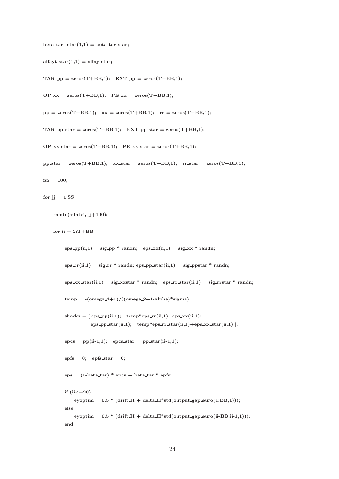beta\_tart\_star(1,1) = beta\_tar\_star;

alfayt\_star(1,1) = alfay\_star;

 $TAR$ -pp = zeros $(T+BB,1)$ ; EXT-pp = zeros $(T+BB,1)$ ;

 $OP_{\text{c}XX} = \text{zeros}(T + BB, 1); \quad PE_{\text{c}XX} = \text{zeros}(T + BB, 1);$ 

 $pp = zeros(T+BB,1);$   $xx = zeros(T+BB,1);$   $rr = zeros(T+BB,1);$ 

 $TAR$ -pp\_star = zeros $(T+BB,1)$ ; EXT-pp\_star = zeros $(T+BB,1)$ ;

 $OP\_xx\_star = zeros(T+BB,1);$   $PE\_xx\_star = zeros(T+BB,1);$ 

```
pp\_star = zeros(T+BB,1); xx\_star = zeros(T+BB,1); rr\_star = zeros(T+BB,1);
```

```
SS = 100;
```

```
for jj = 1:SS
```

```
randn('state', jj+100);
```
for  $ii = 2:T+BB$ 

```
eps\_pp(ii,1) = sig\_pp * randn; \; \;eps\_xx(ii,1) = sig\_xx * randn;eps_rr(ii,1) = sig_rr * randn; eps_pp_star(ii,1) = sig_ppstar * randn;
eps_x x_1 x_2 = sig_x x_2 x_3 = s_1 x_3 + s_2 x_4 = s_1 x_2 + s_3 x_1 + s_4 x_2 + s_5 x_3temp = -(omega_4+1)/((omega_2+1-\alpha)<sup>*</sup>sigma);
\text{shocks} = [\text{eps}.\text{pp}(\text{ii},1); \text{temp*eps}.\text{rr}(\text{ii},1) + \text{eps}.\text{xx}(\text{ii},1);eps_pp_star(ii,1); temp*eps_rr_star(ii,1)+eps_xx_star(ii,1) ];
epcs = pp(ii-1,1); epcs\_star = pp\_star(ii-1,1);epfs = 0; epfs\_star = 0;
eps = (1 - beta_t ar) * eps + beta_t ar * eps;if (ii\ll=20)eyoptim = 0.5 * (drift_H + delta_H * std(output_gap_euro(1:BB,1)));else
    eyoptim = 0.5 * (drift_H + delta_H * std(output_gap_euro(ii-BB:ii-1,1));
end
```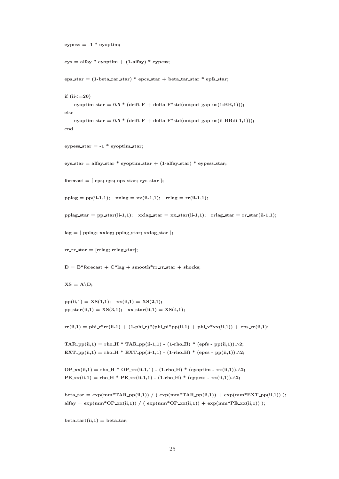```
eypess = -1 * eyoptim;
```

```
eys = \text{alfay} * \text{evoptim} + (1-\text{alfay}) * \text{eypess};
```
eps\_star =  $(1-\beta)$  + epcs\_star + beta\_tar\_star \* epfs\_star;

```
if (ii < = 20)
```

```
eyoptim_star = 0.5 * (drift_F + delta_F * std(output_gap.us(1:BB,1)));else
```
 ${\rm eyoptim\_star} = 0.5\ ^* \ ({\rm drift\_F} + {\rm delta\_F*std}({\rm output\_gap\_us}({\rm ii-BB:ii-1,1}))),$ end

eypess\_star =  $-1$  \* eyoptim\_star;

eys\_star = alfay\_star \* eyoptim\_star + (1-alfay\_star) \* eypess\_star;

```
forecast = [eps; eys; eps\_star; eys\_star];
```
 $pplag = pp(ii-1,1);$   $xxlag = xx(ii-1,1);$   $rrlag = rr(ii-1,1);$ 

```
pplag\_star = ppfstar(ii-1,1); xxlag\_star = xx\_star(ii-1,1); rrlag\_star = rr\_star(ii-1,1);
```
lag = [ pplag; xxlag; pplag star; xxlag star ];

```
rr\_rr\_star = [rrlag; rrlag\_star];
```
 $D = B^*$ forecast +  $C^*$ lag + smooth\*rr\_rr\_star + shocks;

 $XS = A\D$ ;

 $pp(ii,1) = XS(1,1);$   $xx(ii,1) = XS(2,1);$ pp\_star(ii,1) =  $XS(3,1);$  xx\_star(ii,1) =  $XS(4,1);$ 

 $rr(ii,1) = \text{phi-r}rr(ii-1) + (1-\text{phi-r})*(\text{phi-p}i\text{p}p(ii,1) + \text{phi-r}x\text{r}(ii,1)) + \text{eps\_rr}(ii,1);$ 

```
TAR_pp(ii,1) = rho_H * TAR_pp(ii-1,1) - (1-rho_H) * (epfs - pp(ii,1)).∧2;
EXT_pp(ii,1) = rho_H * EXT_pp(ii-1,1) - (1-rho_H) * (epcs - pp(ii,1)).∧2;
```

```
OP_xx(ii,1) = rho_H * OP_xx(ii-1,1) - (1-rho_H) * (eyoptim - xx(ii,1)).∧2;
PE_xx(ii,1) = rho_H * PE_xx(ii-1,1) - (1-rho_H) * (eypess - xx(ii,1)).∧2;
```

```
beta_tar = \exp(\text{mm}^*\text{TAR\_pp}(ii,1)) / (\exp(\text{mm}^*\text{TAR\_pp}(ii,1)) + \exp(\text{mm}^*\text{EXT\_pp}(ii,1)));alfay = \exp(\text{mm}^*\text{OP\_xx}(ii,1)) / (\exp(\text{mm}^*\text{OP\_xx}(ii,1)) + \exp(\text{mm}^*\text{PE\_xx}(ii,1)));
```
 $beta_{\text{start}(ii,1)} = \text{beta\_tar};$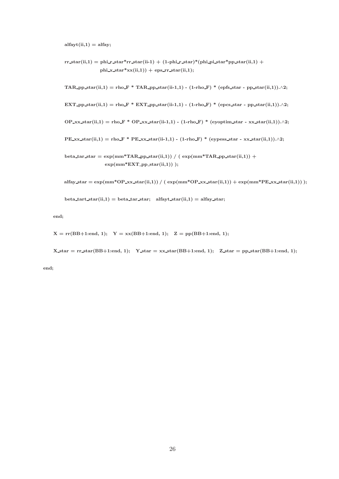$alfayt(ii,1) = alfay;$ 

 $rr\_star(ii,1) = \text{phi\_star*rr\_star(ii-1)} + (1-\text{phi\_star})*(\text{phi\_pi\_star*pp\_star(ii,1)} +$ phi\_x\_star\*xx(ii,1)) + eps\_rr\_star(ii,1);

TAR\_pp\_star(ii,1) = rho\_F \* TAR\_pp\_star(ii-1,1) - (1-rho\_F) \* (epfs\_star - pp\_star(ii,1)). $\wedge$ 2;

EXT\_pp\_star(ii,1) = rho\_F \* EXT\_pp\_star(ii-1,1) - (1-rho\_F) \* (epcs\_star - pp\_star(ii,1)). $\wedge$ 2;

 $OP_{\text{XXX}}(\text{ii},1) = \text{rho-F} * OP_{\text{XXX}}\text{star}(\text{ii}-1,1) - (1-\text{rho-F}) * (\text{eyptm\_star} - \text{xxx}_\text{star}(\text{ii},1)).\land 2;$ 

 $PE\_xx\_star(ii,1) =$ rho $F * PE\_xx\_star(ii-1,1) - (1-rho_F) * (eypess\_star - xx\_star(ii,1)) \cdot \wedge 2;$ 

```
beta_tar_star = exp(mm*TAR_p)_star(ii,1)) / (exp(mm*TAR_p)_star(ii,1)) +
               exp(mm*EXT\_pp\_star(ii,1)) );
```

```
alfay_star = \exp(\text{mm}^*\text{OP}\_\text{XXX}(\text{ii},1)) / (\exp(\text{mm}^*\text{OP}\_\text{XXX}(\text{ii},1)) + \exp(\text{mm}^*\text{PE}\_\text{XXX}(\text{ii},1)));
```
beta\_tart\_star(ii,1) = beta\_tar\_star; alfayt\_star(ii,1) = alfay\_star;

end;

 $X = \text{rr}(BB+1:\text{end}, 1);$   $Y = xx(BB+1:\text{end}, 1);$   $Z = \text{pp}(BB+1:\text{end}, 1);$ 

 $X_{\text{star}} = \text{rr\_star(BB+1:end, 1)}$ ;  $Y_{\text{star}} = \text{xx\_star(BB+1:end, 1)}$ ;  $Z_{\text{star}} = \text{pp\_star(BB+1:end, 1)}$ ;

end;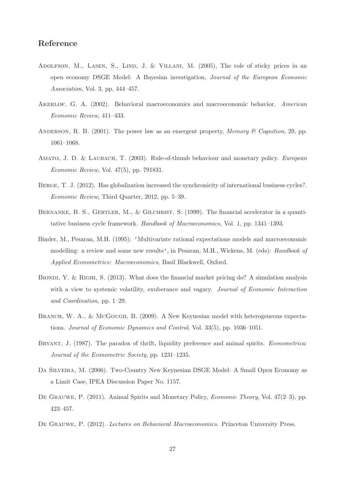# Reference

- ADOLFSON, M., LASEN, S., LIND, J. & VILLANI, M. (2005), The role of sticky prices in an open economy DSGE Model: A Bayesian investigation, Journal of the European Economic Association, Vol. 3, pp. 444–457.
- AKERLOF, G. A. (2002). Behavioral macroeconomics and macroeconomic behavior. American Economic Review, 411–433.
- ANDERSON, R. B. (2001). The power law as an emergent property, *Memory* & Cognition, 29, pp. 1061–1068.
- AMATO, J. D. & LAUBACH, T. (2003). Rule-of-thumb behaviour and monetary policy. *European* Economic Review, Vol. 47(5), pp. 791831.
- BERGE, T. J. (2012). Has globalization increased the synchronicity of international business cycles?. Economic Review, Third Quarter, 2012, pp. 5–39.
- BERNANKE, B. S., GERTLER, M., & GILCHRIST, S. (1999). The financial accelerator in a quantitative business cycle framework. Handbook of Macroeconomics, Vol. 1, pp. 1341–1393.
- Binder, M., Pesaran, M.H. (1995): 'Multivariate rational expectations models and macroeconomic modelling: a review and some new results', in Pesaran, M.H., Wickens, M. (eds): *Handbook of* Applied Econometrics: Macroeconomics, Basil Blackwell, Oxford.
- BIONDI, Y. & RIGHI, S. (2013). What does the financial market pricing do? A simulation analysis with a view to systemic volatility, exuberance and vagary. Journal of Economic Interaction and Coordination, pp. 1–29.
- BRANCH, W. A., & McGOUGH, B. (2009). A New Keynesian model with heterogeneous expectations. Journal of Economic Dynamics and Control, Vol. 33(5), pp. 1036–1051.
- BRYANT, J. (1987). The paradox of thrift, liquidity preference and animal spirits. *Econometrica:* Journal of the Econometric Society, pp. 1231–1235.
- Da Silveira, M. (2006). Two-Country New Keynesian DSGE Model: A Small Open Economy as a Limit Case, IPEA Discussion Paper No. 1157.
- DE GRAUWE, P. (2011). Animal Spirits and Monetary Policy, *Economic Theory*, Vol. 47(2–3), pp. 423–457.
- De Grauwe, P. (2012). Lectures on Behavioral Macroeconomics. Princeton University Press.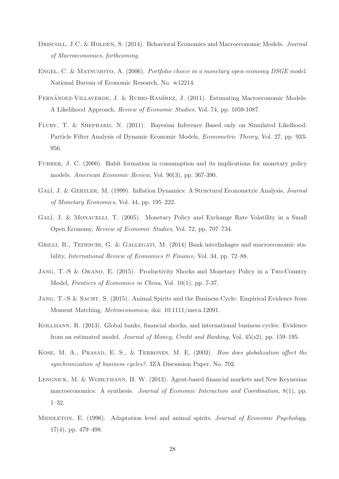- DRISCOLL, J.C. & HOLDEN, S. (2014). Behavioral Economics and Macroeconomic Models. Journal of Macroeconomics, forthcoming.
- ENGEL, C. & MATSUMOTO, A. (2006). Portfolio choice in a monetary open-economy DSGE model. National Bureau of Economic Research, No. w12214.
- FERNÁNDEZ-VILLAVERDE, J. & RUBIO-RAMÍREZ, J. (2011). Estimating Macroeconomic Models: A Likelihood Approach, Review of Economic Studies, Vol. 74, pp. 1059-1087.
- FLURY, T. & SHEPHARD, N. (2011). Bayesian Inference Based only on Simulated Likelhood: Particle Filter Analysis of Dynamic Economic Models, Econometric Theory, Vol. 27, pp. 933- 956.
- Fuhrer, J. C. (2000). Habit formation in consumption and its implications for monetary policy models. American Economic Review, Vol. 90(3), pp. 367-390.
- GALÍ, J. & GERTLER, M. (1999). Inflation Dynamics: A Structural Econometric Analysis, *Journal* of Monetary Economics, Vol. 44, pp. 195–222.
- GALÍ, J. & MONACELLI, T. (2005). Monetary Policy and Exchange Rate Volatility in a Small Open Economy, Review of Economic Studies, Vol. 72, pp. 707–734.
- GRILLI, R., TEDESCHI, G. & GALLEGATI, M. (2014) Bank interlinkages and macroeconomic stability, International Review of Economics & Finance, Vol. 34, pp. 72–88.
- Jang, T.-S & Okano, E. (2015). Productivity Shocks and Monetary Policy in a Two-Country Model, Frontiers of Economics in China, Vol. 10(1), pp. 7-37.
- JANG, T.-S & SACHT, S. (2015). Animal Spirits and the Business Cycle: Empirical Evidence from Moment Matching, Metroeconomica, doi: 10.1111/meca.12091.
- Kollmann, R. (2013). Global banks, financial shocks, and international business cycles: Evidence from an estimated model. Journal of Money, Credit and Banking, Vol. 45(s2), pp. 159–195.
- Kose, M. A., Prasad, E. S., & Terrones, M. E. (2003). How does globalization affect the synchronization of business cycles?. IZA Discussion Paper, No. 702.
- Lengnick, M. & Wohltmann, H. W. (2013). Agent-based financial markets and New Keynesian macroeconomics: A synthesis. Journal of Economic Interaction and Coordination, 8(1), pp. 1–32.
- MIDDLETON, E. (1996). Adaptation level and animal spirits. Journal of Economic Psychology, 17(4), pp. 479–498.